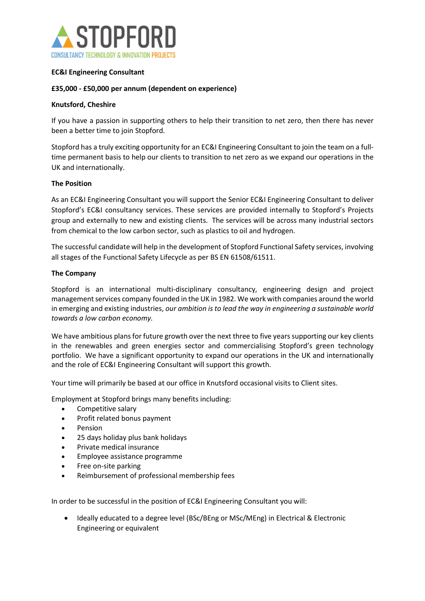

## EC&I Engineering Consultant

## £35,000 - £50,000 per annum (dependent on experience)

#### Knutsford, Cheshire

If you have a passion in supporting others to help their transition to net zero, then there has never been a better time to join Stopford.

Stopford has a truly exciting opportunity for an EC&I Engineering Consultant to join the team on a fulltime permanent basis to help our clients to transition to net zero as we expand our operations in the UK and internationally.

#### The Position

As an EC&I Engineering Consultant you will support the Senior EC&I Engineering Consultant to deliver Stopford's EC&I consultancy services. These services are provided internally to Stopford's Projects group and externally to new and existing clients. The services will be across many industrial sectors from chemical to the low carbon sector, such as plastics to oil and hydrogen.

The successful candidate will help in the development of Stopford Functional Safety services, involving all stages of the Functional Safety Lifecycle as per BS EN 61508/61511.

#### The Company

Stopford is an international multi-disciplinary consultancy, engineering design and project management services company founded in the UK in 1982. We work with companies around the world in emerging and existing industries, our ambition is to lead the way in engineering a sustainable world towards a low carbon economy. 

We have ambitious plans for future growth over the next three to five years supporting our key clients in the renewables and green energies sector and commercialising Stopford's green technology portfolio.  We have a significant opportunity to expand our operations in the UK and internationally and the role of EC&I Engineering Consultant will support this growth. 

Your time will primarily be based at our office in Knutsford occasional visits to Client sites.

Employment at Stopford brings many benefits including:

- Competitive salary
- Profit related bonus payment
- Pension
- 25 days holiday plus bank holidays
- Private medical insurance
- Employee assistance programme
- Free on-site parking
- Reimbursement of professional membership fees

In order to be successful in the position of EC&I Engineering Consultant you will:

 Ideally educated to a degree level (BSc/BEng or MSc/MEng) in Electrical & Electronic Engineering or equivalent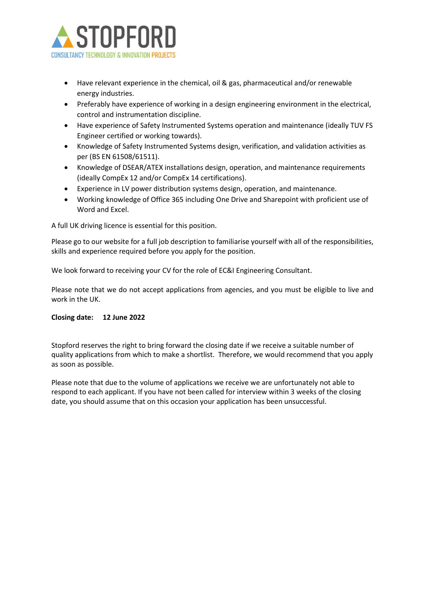

- Have relevant experience in the chemical, oil & gas, pharmaceutical and/or renewable energy industries.
- Preferably have experience of working in a design engineering environment in the electrical, control and instrumentation discipline.
- Have experience of Safety Instrumented Systems operation and maintenance (ideally TUV FS Engineer certified or working towards).
- Knowledge of Safety Instrumented Systems design, verification, and validation activities as per (BS EN 61508/61511).
- Knowledge of DSEAR/ATEX installations design, operation, and maintenance requirements (ideally CompEx 12 and/or CompEx 14 certifications).
- Experience in LV power distribution systems design, operation, and maintenance.
- Working knowledge of Office 365 including One Drive and Sharepoint with proficient use of Word and Excel.

A full UK driving licence is essential for this position.

Please go to our website for a full job description to familiarise yourself with all of the responsibilities, skills and experience required before you apply for the position. 

We look forward to receiving your CV for the role of EC&I Engineering Consultant.

Please note that we do not accept applications from agencies, and you must be eligible to live and work in the UK. 

#### Closing date: 12 June 2022

Stopford reserves the right to bring forward the closing date if we receive a suitable number of quality applications from which to make a shortlist.  Therefore, we would recommend that you apply as soon as possible.  

Please note that due to the volume of applications we receive we are unfortunately not able to respond to each applicant. If you have not been called for interview within 3 weeks of the closing date, you should assume that on this occasion your application has been unsuccessful.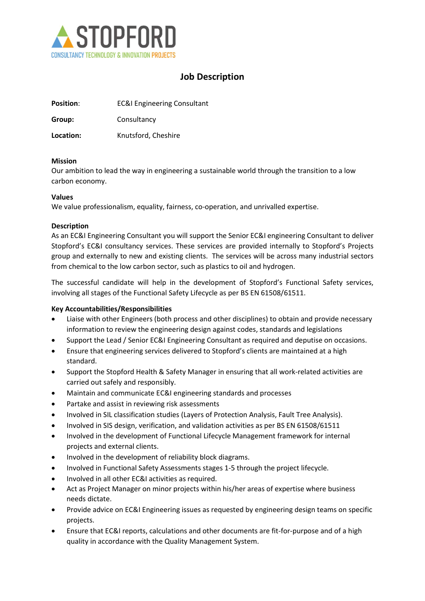

# Job Description

| <b>Position:</b> | <b>EC&amp;I Engineering Consultant</b> |
|------------------|----------------------------------------|
| Group:           | Consultancy                            |
| Location:        | Knutsford, Cheshire                    |

#### Mission

Our ambition to lead the way in engineering a sustainable world through the transition to a low carbon economy.

#### Values

We value professionalism, equality, fairness, co-operation, and unrivalled expertise.

## **Description**

As an EC&I Engineering Consultant you will support the Senior EC&I engineering Consultant to deliver Stopford's EC&I consultancy services. These services are provided internally to Stopford's Projects group and externally to new and existing clients. The services will be across many industrial sectors from chemical to the low carbon sector, such as plastics to oil and hydrogen.

The successful candidate will help in the development of Stopford's Functional Safety services, involving all stages of the Functional Safety Lifecycle as per BS EN 61508/61511.

# Key Accountabilities/Responsibilities

- Liaise with other Engineers (both process and other disciplines) to obtain and provide necessary information to review the engineering design against codes, standards and legislations
- Support the Lead / Senior EC&I Engineering Consultant as required and deputise on occasions.
- Ensure that engineering services delivered to Stopford's clients are maintained at a high standard.
- Support the Stopford Health & Safety Manager in ensuring that all work-related activities are carried out safely and responsibly.
- Maintain and communicate EC&I engineering standards and processes
- Partake and assist in reviewing risk assessments
- Involved in SIL classification studies (Layers of Protection Analysis, Fault Tree Analysis).
- Involved in SIS design, verification, and validation activities as per BS EN 61508/61511
- Involved in the development of Functional Lifecycle Management framework for internal projects and external clients.
- Involved in the development of reliability block diagrams.
- Involved in Functional Safety Assessments stages 1-5 through the project lifecycle.
- Involved in all other EC&I activities as required.
- Act as Project Manager on minor projects within his/her areas of expertise where business needs dictate.
- Provide advice on EC&I Engineering issues as requested by engineering design teams on specific projects.
- Ensure that EC&I reports, calculations and other documents are fit-for-purpose and of a high quality in accordance with the Quality Management System.